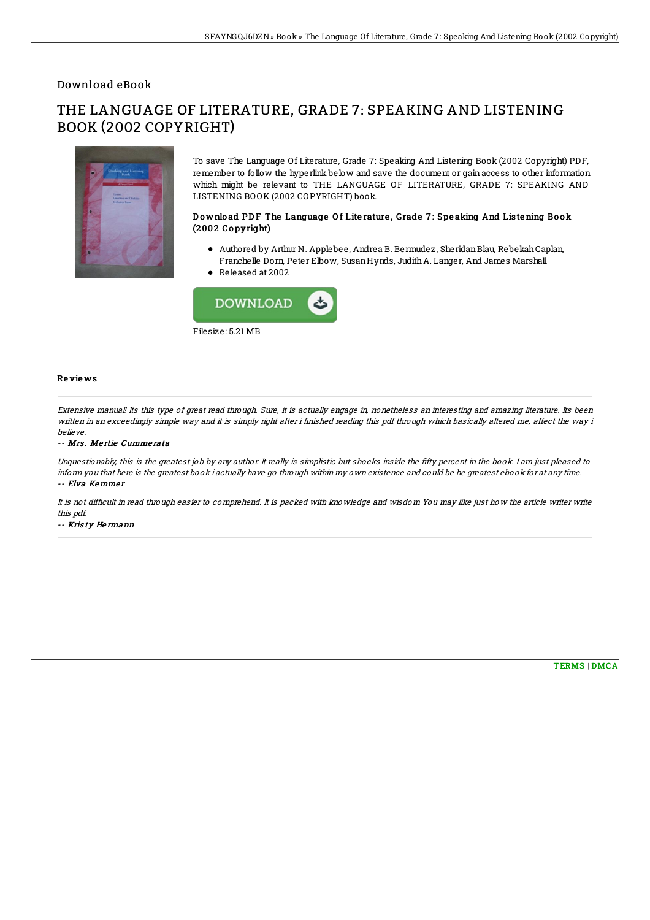### Download eBook

# THE LANGUAGE OF LITERATURE, GRADE 7: SPEAKING AND LISTENING BOOK (2002 COPYRIGHT)



To save The Language Of Literature, Grade 7: Speaking And Listening Book (2002 Copyright) PDF, remember to follow the hyperlink below and save the document or gain access to other information which might be relevant to THE LANGUAGE OF LITERATURE, GRADE 7: SPEAKING AND LISTENING BOOK (2002 COPYRIGHT) book.

#### Download PDF The Language Of Literature, Grade 7: Speaking And Listening Book (2002 Copyright)

- Authored by Arthur N. Applebee, Andrea B. Bermudez, SheridanBlau, RebekahCaplan, Franchelle Dorn, Peter Elbow, SusanHynds, JudithA. Langer, And James Marshall
- Released at 2002



#### Re vie ws

Extensive manual! Its this type of great read through. Sure, it is actually engage in, nonetheless an interesting and amazing literature. Its been written in an exceedingly simple way and it is simply right after i finished reading this pdf through which basically altered me, affect the way i believe.

#### -- Mrs. Mertie Cummerata

Unquestionably, this is the greatest job by any author. It really is simplistic but shocks inside the fifty percent in the book. I am just pleased to inform you that here is the greatest book i actually have go through within my own existence and could be he greatest ebook for at any time. -- Elva Kemmer

It is not difficult in read through easier to comprehend. It is packed with knowledge and wisdom You may like just how the article writer write this pdf.

-- Kris ty He rmann